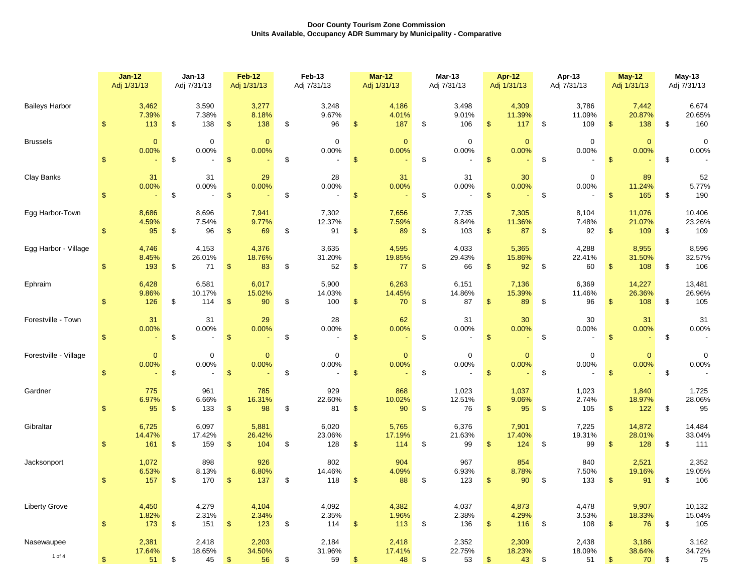|                       | <b>Jan-12</b>                 | Jan-13                                                 | <b>Feb-12</b>                           | Feb-13                      | $Mar-12$                               | Mar-13                      | Apr-12                                 | Apr-13                      | <b>May-12</b>                           | $May-13$                    |
|-----------------------|-------------------------------|--------------------------------------------------------|-----------------------------------------|-----------------------------|----------------------------------------|-----------------------------|----------------------------------------|-----------------------------|-----------------------------------------|-----------------------------|
|                       | Adj 1/31/13                   | Adj 7/31/13                                            | Adj 1/31/13                             | Adj 7/31/13                 | Adj 1/31/13                            | Adj 7/31/13                 | Adj 1/31/13                            | Adj 7/31/13                 | Adj 1/31/13                             | Adj 7/31/13                 |
| <b>Baileys Harbor</b> | 3,462                         | 3,590                                                  | 3,277                                   | 3,248                       | 4,186                                  | 3,498                       | 4,309                                  | 3,786                       | 7,442                                   | 6,674                       |
|                       | 7.39%                         | 7.38%                                                  | 8.18%                                   | 9.67%                       | 4.01%                                  | 9.01%                       | 11.39%                                 | 11.09%                      | 20.87%                                  | 20.65%                      |
|                       | 113                           | \$                                                     | $\mathfrak{S}$                          | \$                          | 187                                    | 106                         | $\mathfrak{F}$                         | \$                          | 138                                     | \$                          |
|                       | \$                            | 138                                                    | 138                                     | 96                          | <sup>\$</sup>                          | \$                          | 117                                    | 109                         | $\mathfrak{S}$                          | 160                         |
| <b>Brussels</b>       | $\mathbf{0}$                  | $\mathbf 0$                                            | $\mathbf{0}$                            | $\mathbf 0$                 | $\mathbf{0}$                           | $\mathbf 0$                 | $\mathbf{0}$                           | $\mathbf 0$                 | $\mathbf{0}$                            | 0                           |
|                       | 0.00%                         | 0.00%                                                  | 0.00%                                   | 0.00%                       | 0.00%                                  | 0.00%                       | 0.00%                                  | 0.00%                       | 0.00%                                   | 0.00%                       |
|                       | $\mathfrak{L}$                | \$                                                     | $\sqrt{2}$                              | \$                          | $\sqrt{3}$                             | \$                          | $\mathbf{\$}$                          | $\boldsymbol{\mathsf{S}}$   | $\sqrt[6]{3}$                           | \$                          |
| Clay Banks            | 31<br>0.00%<br>$\mathfrak{s}$ | 31<br>0.00%<br>\$<br>$\overline{a}$                    | 29<br>0.00%<br>$\mathbf{\$}$            | 28<br>0.00%<br>\$           | 31<br>0.00%<br>$\sqrt{3}$              | 31<br>0.00%<br>\$           | 30<br>0.00%<br>$\mathsf S$             | 0<br>0.00%<br>\$            | 89<br>11.24%<br>\$<br>165               | 52<br>5.77%<br>190<br>\$    |
| Egg Harbor-Town       | 8,686                         | 8,696                                                  | 7,941                                   | 7,302                       | 7,656                                  | 7,735                       | 7,305                                  | 8,104                       | 11,076                                  | 10,406                      |
|                       | 4.59%                         | 7.54%                                                  | 9.77%                                   | 12.37%                      | 7.59%                                  | 8.84%                       | 11.36%                                 | 7.48%                       | 21.07%                                  | 23.26%                      |
|                       | 95                            | 96                                                     | $\sqrt{2}$                              | 91                          | 89                                     | 103                         | $\frac{1}{2}$                          | \$                          | 109                                     | \$                          |
|                       | \$                            | \$                                                     | 69                                      | \$                          | $\frac{1}{2}$                          | \$                          | 87                                     | 92                          | $\mathfrak{S}$                          | 109                         |
| Egg Harbor - Village  | 4,746                         | 4,153                                                  | 4,376                                   | 3,635                       | 4,595                                  | 4,033                       | 5,365                                  | 4,288                       | 8,955                                   | 8,596                       |
|                       | 8.45%                         | 26.01%                                                 | 18.76%                                  | 31.20%                      | 19.85%                                 | 29.43%                      | 15.86%                                 | 22.41%                      | 31.50%                                  | 32.57%                      |
|                       | \$                            | \$                                                     | $\sqrt[6]{3}$                           | \$                          | 77                                     | 66                          | 92                                     | 60                          | $\mathfrak{S}$                          | \$                          |
|                       | 193                           | 71                                                     | 83                                      | 52                          | \$                                     | \$                          | \$                                     | \$                          | 108                                     | 106                         |
| Ephraim               | 6,428                         | 6,581                                                  | 6,017                                   | 5,900                       | 6,263                                  | 6,151                       | 7,136                                  | 6,369                       | 14,227                                  | 13,481                      |
|                       | 9.86%                         | 10.17%                                                 | 15.02%                                  | 14.03%                      | 14.45%                                 | 14.86%                      | 15.39%                                 | 11.46%                      | 26.36%                                  | 26.96%                      |
|                       | \$                            | \$                                                     | $\sqrt{2}$                              | \$                          | 70                                     | \$                          | $\sqrt{2}$                             | \$                          | $\mathfrak{F}$                          | \$                          |
|                       | 126                           | 114                                                    | 90                                      | 100                         | \$                                     | 87                          | 89                                     | 96                          | 108                                     | 105                         |
| Forestville - Town    | 31<br>0.00%<br>$\mathfrak{s}$ | 31<br>0.00%<br>\$<br>$\overline{a}$                    | 29<br>0.00%<br>$\mathfrak{s}$           | 28<br>0.00%<br>\$           | 62<br>0.00%<br>$\mathfrak{s}$          | 31<br>0.00%<br>\$           | 30<br>0.00%<br>$\mathfrak{F}$          | 30<br>0.00%<br>\$           | 31<br>0.00%<br>$\mathfrak{S}$           | 31<br>0.00%<br>\$           |
| Forestville - Village | $\mathbf{0}$<br>0.00%<br>\$   | $\mathbf 0$<br>0.00%<br>\$<br>$\overline{\phantom{a}}$ | $\mathbf{0}$<br>0.00%<br>$\mathfrak{s}$ | $\mathbf 0$<br>0.00%<br>\$  | $\mathbf{0}$<br>0.00%<br>$\mathcal{S}$ | $\mathbf 0$<br>0.00%<br>\$  | $\mathbf{0}$<br>0.00%<br>$\mathsf{\$}$ | 0<br>0.00%<br>\$            | $\mathbf{0}$<br>0.00%<br>$\mathfrak{F}$ | 0<br>0.00%<br>\$            |
| Gardner               | 775                           | 961                                                    | 785                                     | 929                         | 868                                    | 1,023                       | 1,037                                  | 1,023                       | 1,840                                   | 1,725                       |
|                       | 6.97%                         | 6.66%                                                  | 16.31%                                  | 22.60%                      | 10.02%                                 | 12.51%                      | 9.06%                                  | 2.74%                       | 18.97%                                  | 28.06%                      |
|                       | 95                            | \$                                                     | $\sqrt[6]{3}$                           | \$                          | \$                                     | \$                          | $\mathfrak{F}$                         | 105                         | $\mathfrak{F}$                          | \$                          |
|                       | \$                            | 133                                                    | 98                                      | 81                          | 90                                     | 76                          | 95                                     | \$                          | 122                                     | 95                          |
| Gibraltar             | 6,725                         | 6,097                                                  | 5,881                                   | 6,020                       | 5,765                                  | 6,376                       | 7,901                                  | 7,225                       | 14,872                                  | 14,484                      |
|                       | 14.47%                        | 17.42%                                                 | 26.42%                                  | 23.06%                      | 17.19%                                 | 21.63%                      | 17.40%                                 | 19.31%                      | 28.01%                                  | 33.04%                      |
|                       | \$                            | \$                                                     | $\mathfrak{s}$                          | \$                          | $\mathfrak{S}$                         | \$                          | $\mathfrak{F}$                         | \$                          | $\mathfrak{S}$                          | \$                          |
|                       | 161                           | 159                                                    | 104                                     | 128                         | 114                                    | 99                          | 124                                    | 99                          | 128                                     | 111                         |
| Jacksonport           | 1,072                         | 898                                                    | 926                                     | 802                         | 904                                    | 967                         | 854                                    | 840                         | 2,521                                   | 2,352                       |
|                       | 6.53%                         | 8.13%                                                  | 6.80%                                   | 14.46%                      | 4.09%                                  | 6.93%                       | 8.78%                                  | 7.50%                       | 19.16%                                  | 19.05%                      |
|                       | 157                           | 170                                                    | 137                                     | 118                         | 88                                     | 123                         | 90                                     | 133                         | 91                                      | 106                         |
|                       | \$                            | \$                                                     | \$                                      | \$                          | \$                                     | \$                          | \$                                     | \$                          | $\mathfrak{S}$                          | \$                          |
| <b>Liberty Grove</b>  | 4,450                         | 4,279                                                  | 4,104                                   | 4,092                       | 4,382                                  | 4,037                       | 4,873                                  | 4,478                       | 9,907                                   | 10,132                      |
|                       | 1.82%                         | 2.31%                                                  | 2.34%                                   | 2.35%                       | 1.96%                                  | 2.38%                       | 4.29%                                  | 3.53%                       | 18.33%                                  | 15.04%                      |
|                       | $\mathbf{\$}$                 | 151                                                    | 123                                     | \$                          | $\mathfrak{S}$                         | 136                         | 116                                    | 108                         | 76                                      | 105                         |
|                       | 173                           | \$                                                     | $\mathfrak{S}$                          | 114                         | 113                                    | \$                          | $\mathbf{\$}$                          | \$                          | $\mathbb{S}$                            | \$                          |
| Nasewaupee<br>1 of 4  | 2,381<br>17.64%<br>\$<br>51   | 2,418<br>18.65%<br>45<br>\$                            | 2,203<br>34.50%<br>\$<br>56             | 2,184<br>31.96%<br>59<br>\$ | 2,418<br>17.41%<br>48<br>\$.           | 2,352<br>22.75%<br>53<br>\$ | 2,309<br>18.23%<br>\$<br>43            | 2,438<br>18.09%<br>51<br>\$ | 3,186<br>38.64%<br>70<br>\$             | 3,162<br>34.72%<br>\$<br>75 |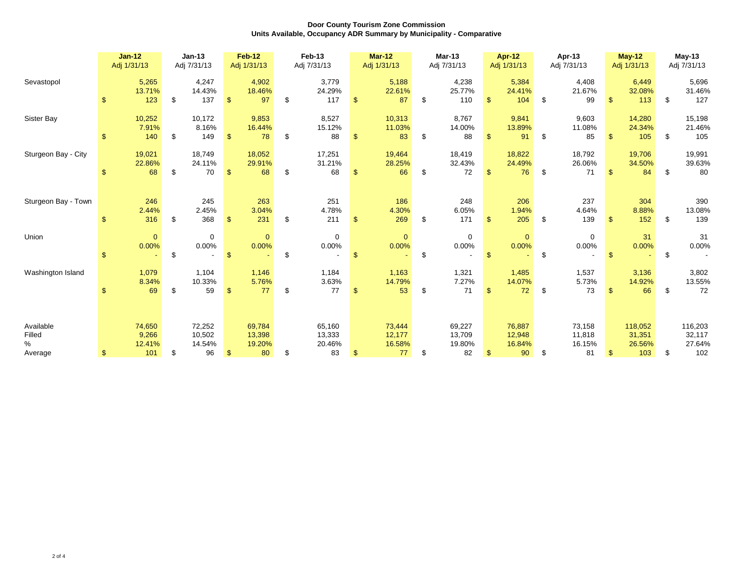|                                     | $Jan-12$<br>$Jan-13$<br>Adj 1/31/13<br>Adj 7/31/13 |                                                  | <b>Feb-12</b><br>Adj 1/31/13 |                                  | Feb-13<br>Adj 7/31/13 |                                  | <b>Mar-12</b><br>Adj 1/31/13 |                                  | Mar-13<br>Adj 7/31/13 |                                  | Apr-12<br>Adj 1/31/13 |                                  | Apr-13<br>Adj 7/31/13   |                                  | <b>May-12</b><br>Adj 1/31/13 |                                  | $May-13$<br>Adj 7/31/13 |                                    |    |                                    |
|-------------------------------------|----------------------------------------------------|--------------------------------------------------|------------------------------|----------------------------------|-----------------------|----------------------------------|------------------------------|----------------------------------|-----------------------|----------------------------------|-----------------------|----------------------------------|-------------------------|----------------------------------|------------------------------|----------------------------------|-------------------------|------------------------------------|----|------------------------------------|
| Sevastopol                          | \$                                                 | 5,265<br>13.71%<br>123                           | \$                           | 4,247<br>14.43%<br>137           | \$                    | 4,902<br>18.46%<br>97            | £.                           | 3,779<br>24.29%<br>117           | \$.                   | 5,188<br>22.61%<br>87            | \$                    | 4,238<br>25.77%<br>110           | \$.                     | 5,384<br>24.41%<br>104           | \$                           | 4,408<br>21.67%<br>99            |                         | 6,449<br>32.08%<br>113             | \$ | 5,696<br>31.46%<br>127             |
| Sister Bay                          | <sup>\$</sup>                                      | 10,252<br>7.91%<br>140                           | \$                           | 10,172<br>8.16%<br>149           | $\mathfrak{s}$        | 9,853<br>16.44%<br>78            | \$                           | 8,527<br>15.12%<br>88            | $\mathbf{s}$          | 10,313<br>11.03%<br>83           | \$                    | 8,767<br>14.00%<br>88            | $\mathbf{\mathfrak{L}}$ | 9,841<br>13.89%<br>91            | \$                           | 9,603<br>11.08%<br>85            | $\mathbf{F}$            | 14,280<br>24.34%<br>105            | \$ | 15,198<br>21.46%<br>105            |
| Sturgeon Bay - City                 | \$                                                 | 19,021<br>22.86%<br>68                           | \$                           | 18,749<br>24.11%<br>70           | \$                    | 18,052<br>29.91%<br>68           | \$                           | 17,251<br>31.21%<br>68           | £.                    | 19,464<br>28.25%<br>66           | \$                    | 18,419<br>32.43%<br>72           | \$.                     | 18,822<br>24.49%<br>76           | \$                           | 18,792<br>26.06%<br>71           | \$.                     | 19,706<br>34.50%<br>84             | \$ | 19,991<br>39.63%<br>80             |
| Sturgeon Bay - Town                 | <sup>\$</sup>                                      | 246<br>2.44%<br>316                              | \$                           | 245<br>2.45%<br>368              | $\mathbf{\$}$         | 263<br>3.04%<br>231              | \$.                          | 251<br>4.78%<br>211              | $\mathbf{s}$          | 186<br>4.30%<br>269              | \$                    | 248<br>6.05%<br>171              | $\mathbf{\mathfrak{L}}$ | 206<br>1.94%<br>205              | -\$                          | 237<br>4.64%<br>139              | <sup>\$</sup>           | 304<br>8.88%<br>152                | \$ | 390<br>13.08%<br>139               |
| Union                               | $\mathfrak{s}$                                     | $\mathbf 0$<br>0.00%<br>$\overline{\phantom{0}}$ | \$                           | $\mathbf 0$<br>0.00%             | $\mathfrak{s}$        | $\mathbf{0}$<br>0.00%            | \$                           | $\mathbf 0$<br>0.00%             | $\mathsf{\$}$         | $\mathbf{0}$<br>0.00%            | \$                    | $\mathbf 0$<br>0.00%             | $\mathbf{\$}$           | $\mathbf{0}$<br>0.00%            | \$                           | $\mathbf 0$<br>0.00%             |                         | 31<br>0.00%                        | \$ | 31<br>0.00%                        |
| Washington Island                   |                                                    | 1,079<br>8.34%<br>69                             | \$                           | 1,104<br>10.33%<br>59            | \$.                   | 1,146<br>5.76%<br>77             | \$                           | 1,184<br>3.63%<br>77             | \$.                   | 1,163<br>14.79%<br>53            | \$                    | 1,321<br>7.27%<br>71             | £.                      | 1,485<br>14.07%<br>72            | \$                           | 1,537<br>5.73%<br>73             |                         | 3,136<br>14.92%<br>66              | \$ | 3,802<br>13.55%<br>72              |
| Available<br>Filled<br>%<br>Average | \$                                                 | 74,650<br>9,266<br>12.41%<br>101                 | \$                           | 72,252<br>10,502<br>14.54%<br>96 |                       | 69,784<br>13,398<br>19.20%<br>80 | \$                           | 65,160<br>13,333<br>20.46%<br>83 |                       | 73,444<br>12,177<br>16.58%<br>77 | \$                    | 69,227<br>13,709<br>19.80%<br>82 |                         | 76,887<br>12,948<br>16.84%<br>90 | \$                           | 73,158<br>11,818<br>16.15%<br>81 |                         | 118,052<br>31,351<br>26.56%<br>103 | \$ | 116,203<br>32,117<br>27.64%<br>102 |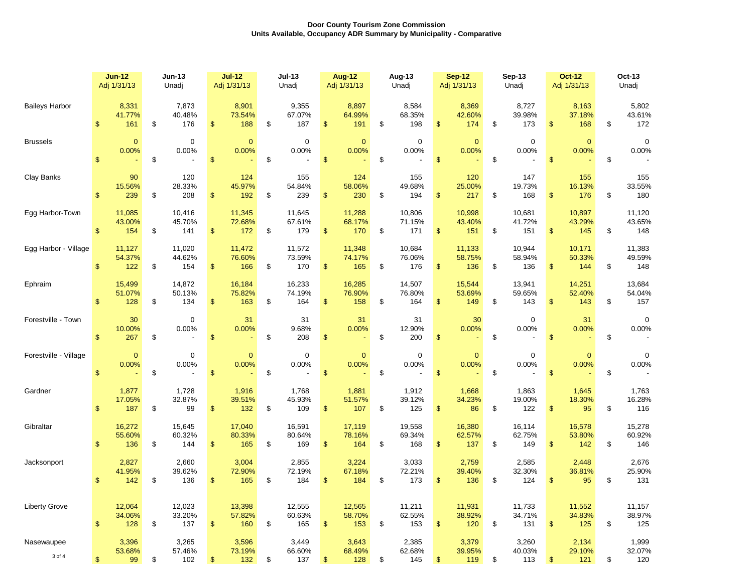|                       | $Jun-12$                               | <b>Jun-13</b>                | $Jul-12$                     | <b>Jul-13</b>                | <b>Aug-12</b>                | Aug-13                       | <b>Sep-12</b>                | <b>Sep-13</b>                | <b>Oct-12</b>                          | Oct-13                       |
|-----------------------|----------------------------------------|------------------------------|------------------------------|------------------------------|------------------------------|------------------------------|------------------------------|------------------------------|----------------------------------------|------------------------------|
|                       | Adj 1/31/13                            | Unadj                        | Adj 1/31/13                  | Unadj                        | Adj 1/31/13                  | Unadi                        | Adj 1/31/13                  | Unadj                        | Adj 1/31/13                            | Unadj                        |
| <b>Baileys Harbor</b> | 8,331                                  | 7,873                        | 8,901                        | 9,355                        | 8,897                        | 8,584                        | 8,369                        | 8,727                        | 8,163                                  | 5,802                        |
|                       | 41.77%                                 | 40.48%                       | 73.54%                       | 67.07%                       | 64.99%                       | 68.35%                       | 42.60%                       | 39.98%                       | 37.18%                                 | 43.61%                       |
|                       | $\mathfrak{s}$                         | \$                           | \$                           | \$                           | \$                           | \$                           | \$                           | \$                           | $\mathfrak{S}$                         | \$                           |
|                       | 161                                    | 176                          | 188                          | 187                          | 191                          | 198                          | 174                          | 173                          | 168                                    | 172                          |
| <b>Brussels</b>       | $\overline{0}$                         | $\mathbf 0$                  | $\overline{0}$               | $\mathbf 0$                  | $\overline{0}$               | $\mathbf 0$                  | $\Omega$                     | $\mathbf 0$                  | $\mathbf{0}$                           | $\mathbf 0$                  |
|                       | 0.00%                                  | 0.00%                        | 0.00%                        | 0.00%                        | 0.00%                        | 0.00%                        | 0.00%                        | 0.00%                        | 0.00%                                  | 0.00%                        |
|                       | $\mathfrak{L}$                         | \$                           | $\mathsf{\$}$                | $\mathfrak s$                | \$                           | \$                           | $\mathfrak{s}$               | \$                           | $\mathsf{\$}$                          | \$                           |
| Clay Banks            | 90                                     | 120                          | 124                          | 155                          | 124                          | 155                          | 120                          | 147                          | 155                                    | 155                          |
|                       | 15.56%                                 | 28.33%                       | 45.97%                       | 54.84%                       | 58.06%                       | 49.68%                       | 25.00%                       | 19.73%                       | 16.13%                                 | 33.55%                       |
|                       | $\mathbb{S}$                           | 208                          | \$                           | \$                           | $\frac{1}{2}$                | \$                           | \$                           | \$                           | \$                                     | \$                           |
|                       | 239                                    | \$                           | 192                          | 239                          | 230                          | 194                          | 217                          | 168                          | 176                                    | 180                          |
| Egg Harbor-Town       | 11,085                                 | 10,416                       | 11,345                       | 11,645                       | 11,288                       | 10,806                       | 10,998                       | 10,681                       | 10,897                                 | 11,120                       |
|                       | 43.00%                                 | 45.70%                       | 72.68%                       | 67.61%                       | 68.17%                       | 71.15%                       | 43.40%                       | 41.72%                       | 43.29%                                 | 43.65%                       |
|                       | $\mathfrak{S}$                         | \$                           | \$                           | \$                           | $\frac{2}{3}$                | \$                           | \$                           | \$                           | $\mathfrak{S}$                         | \$                           |
|                       | 154                                    | 141                          | 172                          | 179                          | 170                          | 171                          | 151                          | 151                          | 145                                    | 148                          |
| Egg Harbor - Village  | 11,127                                 | 11,020                       | 11,472                       | 11,572                       | 11,348                       | 10,684                       | 11,133                       | 10,944                       | 10,171                                 | 11,383                       |
|                       | 54.37%                                 | 44.62%                       | 76.60%                       | 73.59%                       | 74.17%                       | 76.06%                       | 58.75%                       | 58.94%                       | 50.33%                                 | 49.59%                       |
|                       | \$                                     | \$                           | \$                           | \$                           | \$                           | \$                           | \$                           | \$                           | \$                                     | \$                           |
|                       | 122                                    | 154                          | 166                          | 170                          | 165                          | 176                          | 136                          | 136                          | 144                                    | 148                          |
| Ephraim               | 15,499                                 | 14,872                       | 16,184                       | 16,233                       | 16,285                       | 14,507                       | 15,544                       | 13,941                       | 14,251                                 | 13,684                       |
|                       | 51.07%                                 | 50.13%                       | 75.82%                       | 74.19%                       | 76.90%                       | 76.80%                       | 53.69%                       | 59.65%                       | 52.40%                                 | 54.04%                       |
|                       | $\mathfrak{S}$                         | \$                           | \$                           | \$                           | $\frac{1}{2}$                | \$                           | \$                           | \$                           | $\frac{1}{2}$                          | \$                           |
|                       | 128                                    | 134                          | 163                          | 164                          | 158                          | 164                          | 149                          | 143                          | 143                                    | 157                          |
| Forestville - Town    | 30<br>10.00%<br>$\mathbf{\$}$<br>267   | 0<br>0.00%<br>\$             | 31<br>0.00%<br>\$            | 31<br>9.68%<br>\$<br>208     | 31<br>0.00%<br>$\frac{1}{2}$ | 31<br>12.90%<br>\$<br>200    | 30<br>0.00%<br>$\mathbb{S}$  | $\mathbf 0$<br>0.00%<br>\$   | 31<br>0.00%<br>$\mathbf{\$}$           | 0<br>0.00%<br>\$             |
| Forestville - Village | $\mathbf{0}$<br>0.00%<br>$\mathsf{\$}$ | 0<br>0.00%<br>\$<br>$\sim$   | $\mathbf{0}$<br>0.00%<br>\$  | $\mathbf 0$<br>0.00%<br>\$   | $\mathbf{0}$<br>0.00%<br>\$  | $\mathbf 0$<br>0.00%<br>\$   | $\mathbf{0}$<br>0.00%<br>\$  | 0<br>0.00%<br>\$             | $\mathbf{0}$<br>0.00%<br>$\frac{1}{2}$ | $\mathbf 0$<br>0.00%<br>\$   |
| Gardner               | 1,877                                  | 1,728                        | 1,916                        | 1,768                        | 1,881                        | 1,912                        | 1,668                        | 1,863                        | 1,645                                  | 1,763                        |
|                       | 17.05%                                 | 32.87%                       | 39.51%                       | 45.93%                       | 51.57%                       | 39.12%                       | 34.23%                       | 19.00%                       | 18.30%                                 | 16.28%                       |
|                       | $\mathfrak{s}$                         | \$                           | \$                           | \$                           | $\frac{1}{2}$                | \$                           | \$                           | \$                           | $\mathfrak{s}$                         | \$                           |
|                       | 187                                    | 99                           | 132                          | 109                          | 107                          | 125                          | 86                           | 122                          | 95                                     | 116                          |
| Gibraltar             | 16,272                                 | 15,645                       | 17,040                       | 16,591                       | 17,119                       | 19,558                       | 16,380                       | 16,114                       | 16,578                                 | 15,278                       |
|                       | 55.60%                                 | 60.32%                       | 80.33%                       | 80.64%                       | 78.16%                       | 69.34%                       | 62.57%                       | 62.75%                       | 53.80%                                 | 60.92%                       |
|                       | $\mathfrak{L}$                         | \$                           | \$                           | \$                           | $\mathfrak{S}$               | \$                           | \$                           | \$                           | $\mathfrak{s}$                         | \$                           |
|                       | 136                                    | 144                          | 165                          | 169                          | 164                          | 168                          | 137                          | 149                          | 142                                    | 146                          |
| Jacksonport           | 2,827                                  | 2,660                        | 3,004                        | 2,855                        | 3,224                        | 3,033                        | 2,759                        | 2,585                        | 2,448                                  | 2,676                        |
|                       | 41.95%                                 | 39.62%                       | 72.90%                       | 72.19%                       | 67.18%                       | 72.21%                       | 39.40%                       | 32.30%                       | 36.81%                                 | 25.90%                       |
|                       | $\mathfrak{S}$                         | 136                          | \$                           | \$                           | 184                          | \$                           | \$                           | 124                          | \$                                     | 131                          |
|                       | 142                                    | \$                           | 165                          | 184                          | \$                           | 173                          | 136                          | \$                           | 95                                     | \$                           |
| <b>Liberty Grove</b>  | 12,064                                 | 12,023                       | 13,398                       | 12,555                       | 12,565                       | 11,211                       | 11,931                       | 11,733                       | 11,552                                 | 11,157                       |
|                       | 34.06%                                 | 33.20%                       | 57.82%                       | 60.63%                       | 58.70%                       | 62.55%                       | 38.92%                       | 34.71%                       | 34.83%                                 | 38.97%                       |
|                       | $\mathbf{\$}$                          | 137                          | 160                          | \$                           | $\frac{1}{2}$                | 153                          | $\mathbb{S}$                 | \$                           | 125                                    | \$                           |
|                       | 128                                    | \$                           | \$                           | 165                          | 153                          | \$                           | 120                          | 131                          | $\mathfrak{L}$                         | 125                          |
| Nasewaupee<br>3 of 4  | 3,396<br>53.68%<br>\$<br>99            | 3,265<br>57.46%<br>102<br>\$ | 3,596<br>73.19%<br>\$<br>132 | 3,449<br>66.60%<br>\$<br>137 | 3,643<br>68.49%<br>\$<br>128 | 2,385<br>62.68%<br>\$<br>145 | 3,379<br>39.95%<br>\$<br>119 | 3,260<br>40.03%<br>\$<br>113 | 2,134<br>29.10%<br>\$<br>121           | 1,999<br>32.07%<br>\$<br>120 |